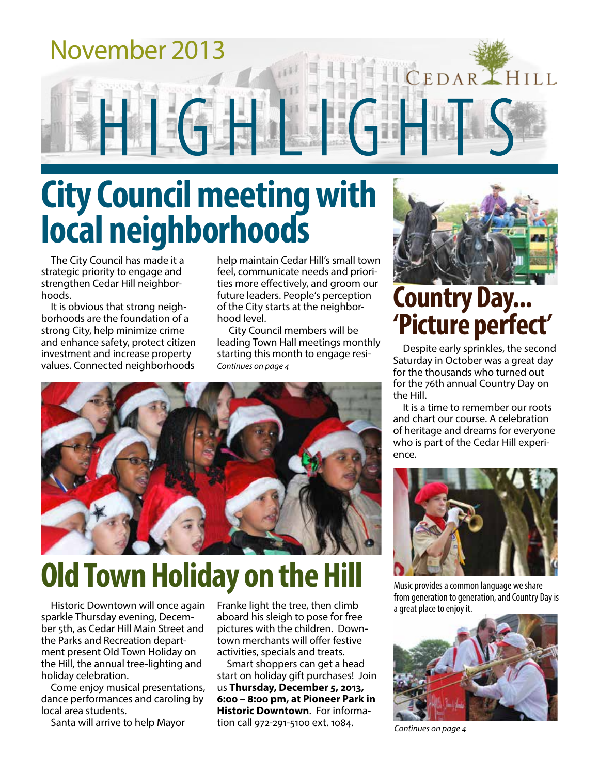

# **City Council meeting with local neighborhoods**

The City Council has made it a strategic priority to engage and strengthen Cedar Hill neighborhoods.

It is obvious that strong neighborhoods are the foundation of a strong City, help minimize crime and enhance safety, protect citizen investment and increase property values. Connected neighborhoods

help maintain Cedar Hill's small town feel, communicate needs and priorities more effectively, and groom our future leaders. People's perception of the City starts at the neighborhood level.

City Council members will be leading Town Hall meetings monthly starting this month to engage resi-*Continues on page 4*



# **Old Town Holiday on the Hill**

Historic Downtown will once again sparkle Thursday evening, December 5th, as Cedar Hill Main Street and the Parks and Recreation department present Old Town Holiday on the Hill, the annual tree-lighting and holiday celebration.

Come enjoy musical presentations, dance performances and caroling by local area students.

Santa will arrive to help Mayor

Franke light the tree, then climb aboard his sleigh to pose for free pictures with the children. Downtown merchants will offer festive activities, specials and treats.

Smart shoppers can get a head start on holiday gift purchases! Join us **Thursday, December 5, 2013, 6:00 – 8:00 pm, at Pioneer Park in Historic Downtown**. For information call 972-291-5100 ext. 1084.



# **Country Day... 'Picture perfect'**

Despite early sprinkles, the second Saturday in October was a great day for the thousands who turned out for the 76th annual Country Day on the Hill.

It is a time to remember our roots and chart our course. A celebration of heritage and dreams for everyone who is part of the Cedar Hill experience.



Music provides a common language we share from generation to generation, and Country Day is a great place to enjoy it.



*Continues on page 4*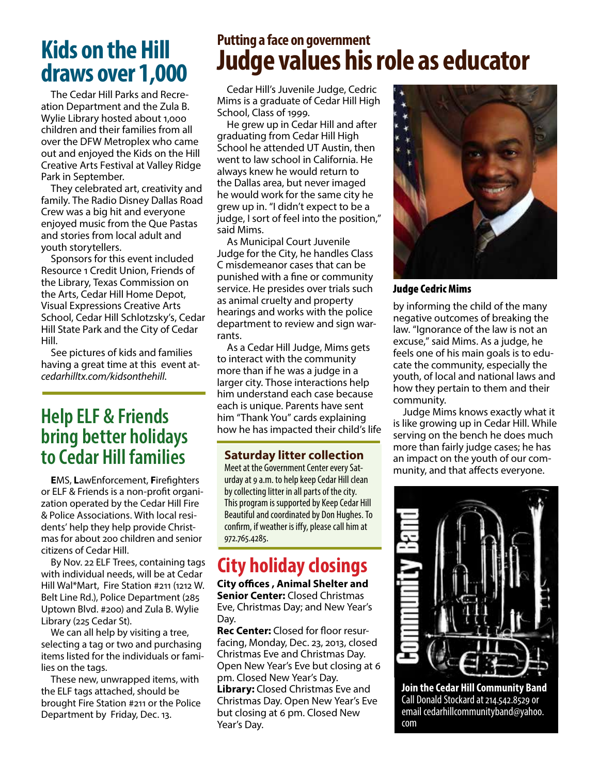## **Kids on the Hill draws over 1,000**

The Cedar Hill Parks and Recreation Department and the Zula B. Wylie Library hosted about 1,000 children and their families from all over the DFW Metroplex who came out and enjoyed the Kids on the Hill Creative Arts Festival at Valley Ridge Park in September.

They celebrated art, creativity and family. The Radio Disney Dallas Road Crew was a big hit and everyone enjoyed music from the Que Pastas and stories from local adult and youth storytellers.

Sponsors for this event included Resource 1 Credit Union, Friends of the Library, Texas Commission on the Arts, Cedar Hill Home Depot, Visual Expressions Creative Arts School, Cedar Hill Schlotzsky's, Cedar Hill State Park and the City of Cedar Hill.

See pictures of kids and families having a great time at this event at*cedarhilltx.com/kidsonthehill*.

### **Help ELF & Friends bring better holidays to Cedar Hill families**

**E**MS, **L**awEnforcement, **F**irefighters or ELF & Friends is a non-profit organization operated by the Cedar Hill Fire & Police Associations. With local residents' help they help provide Christmas for about 200 children and senior citizens of Cedar Hill.

By Nov. 22 ELF Trees, containing tags with individual needs, will be at Cedar Hill Wal\*Mart, Fire Station #211 (1212 W. Belt Line Rd.), Police Department (285 Uptown Blvd. #200) and Zula B. Wylie Library (225 Cedar St).

We can all help by visiting a tree, selecting a tag or two and purchasing items listed for the individuals or families on the tags.

These new, unwrapped items, with the ELF tags attached, should be brought Fire Station #211 or the Police Department by Friday, Dec. 13.

### **Putting a face on government Judge values his role as educator**

Cedar Hill's Juvenile Judge, Cedric Mims is a graduate of Cedar Hill High School, Class of 1999.

He grew up in Cedar Hill and after graduating from Cedar Hill High School he attended UT Austin, then went to law school in California. He always knew he would return to the Dallas area, but never imaged he would work for the same city he grew up in. "I didn't expect to be a judge, I sort of feel into the position," said Mims.

As Municipal Court Juvenile Judge for the City, he handles Class C misdemeanor cases that can be punished with a fine or community service. He presides over trials such as animal cruelty and property hearings and works with the police department to review and sign warrants.

As a Cedar Hill Judge, Mims gets to interact with the community more than if he was a judge in a larger city. Those interactions help him understand each case because each is unique. Parents have sent him "Thank You" cards explaining how he has impacted their child's life

#### **Saturday litter collection**

Meet at the Government Center every Saturday at 9 a.m. to help keep Cedar Hill clean by collecting litter in all parts of the city. This program is supported by Keep Cedar Hill Beautiful and coordinated by Don Hughes. To confirm, if weather is iffy, please call him at 972.765.4285.

### **City holiday closings**

**City offices , Animal Shelter and Senior Center:** Closed Christmas Eve, Christmas Day; and New Year's Day.

**Rec Center:** Closed for floor resurfacing, Monday, Dec. 23, 2013, closed Christmas Eve and Christmas Day. Open New Year's Eve but closing at 6 pm. Closed New Year's Day. **Library:** Closed Christmas Eve and Christmas Day. Open New Year's Eve but closing at 6 pm. Closed New Year's Day.



Judge Cedric Mims

by informing the child of the many negative outcomes of breaking the law. "Ignorance of the law is not an excuse," said Mims. As a judge, he feels one of his main goals is to educate the community, especially the youth, of local and national laws and how they pertain to them and their community.

Judge Mims knows exactly what it is like growing up in Cedar Hill. While serving on the bench he does much more than fairly judge cases; he has an impact on the youth of our community, and that affects everyone.



**Join the Cedar Hill Community Band** Call Donald Stockard at 214.542.8529 or email cedarhillcommunityband@yahoo. com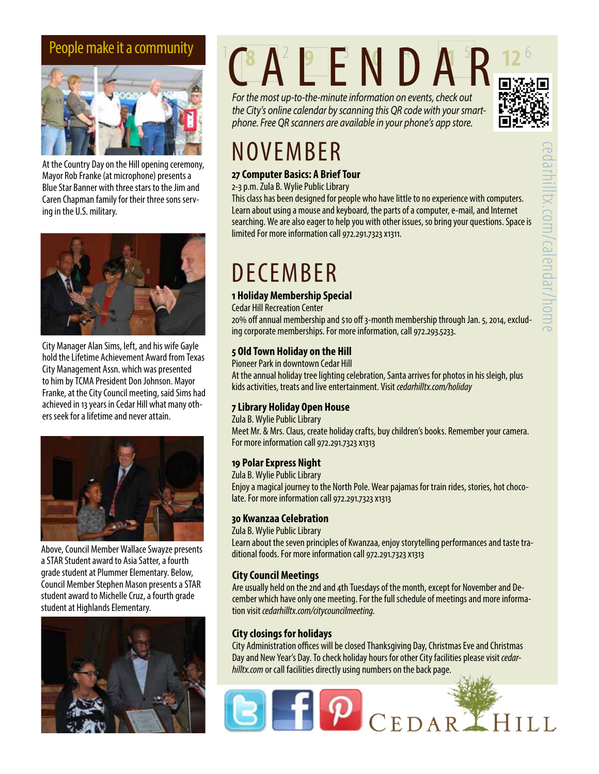

At the Country Day on the Hill opening ceremony, Mayor Rob Franke (at microphone) presents a Blue Star Banner with three stars to the Jim and Caren Chapman family for their three sons serving in the U.S. military.



City Manager Alan Sims, left, and his wife Gayle hold the Lifetime Achievement Award from Texas City Management Assn. which was presented to him by TCMA President Don Johnson. Mayor Franke, at the City Council meeting, said Sims had achieved in 13 years in Cedar Hill what many others seek for a lifetime and never attain.



Above, Council Member Wallace Swayze presents a STAR Student award to Asia Satter, a fourth grade student at Plummer Elementary. Below, Council Member Stephen Mason presents a STAR student award to Michelle Cruz, a fourth grade student at Highlands Elementary.



# People make it a community  $C A^2 E E N D A^3 R$

*For the most up-to-the-minute information on events, check out the City's online calendar by scanning this QR code with your smartphone. Free QR scanners are available in your phone's app store.*



# NOVEMBER

#### **27 Computer Basics: A Brief Tour**

2-3 p.m. Zula B. Wylie Public Library

This class has been designed for people who have little to no experience with computers. Learn about using a mouse and keyboard, the parts of a computer, e-mail, and Internet searching. We are also eager to help you with other issues, so bring your questions. Space is limited For more information call 972.291.7323 x1311.

# DECEMBER

#### **1 Holiday Membership Special**

Cedar Hill Recreation Center

20% off annual membership and \$10 off 3-month membership through Jan. 5, 2014, excluding corporate memberships. For more information, call 972.293.5233.

#### **5 Old Town Holiday on the Hill**

Pioneer Park in downtown Cedar Hill

At the annual holiday tree lighting celebration, Santa arrives for photos in his sleigh, plus kids activities, treats and live entertainment. Visit *cedarhilltx.com/holiday*

#### **7 Library Holiday Open House**

Zula B. Wylie Public Library Meet Mr. & Mrs. Claus, create holiday crafts, buy children's books. Remember your camera. For more information call 972.291.7323 x1313

#### **19 Polar Express Night**

Zula B. Wylie Public Library Enjoy a magical journey to the North Pole. Wear pajamas for train rides, stories, hot chocolate. For more information call 972.291.7323 x1313

#### **30 Kwanzaa Celebration**

Zula B. Wylie Public Library Learn about the seven principles of Kwanzaa, enjoy storytelling performances and taste traditional foods. For more information call 972.291.7323 x1313

#### **City Council Meetings**

Are usually held on the 2nd and 4th Tuesdays of the month, except for November and December which have only one meeting. For the full schedule of meetings and more information visit *cedarhilltx.com/citycouncilmeeting.*

#### **City closings for holidays**

City Administration offices will be closed Thanksgiving Day, Christmas Eve and Christmas Day and New Year's Day. To check holiday hours for other City facilities please visit *cedarhilltx.com* or call facilities directly using numbers on the back page.